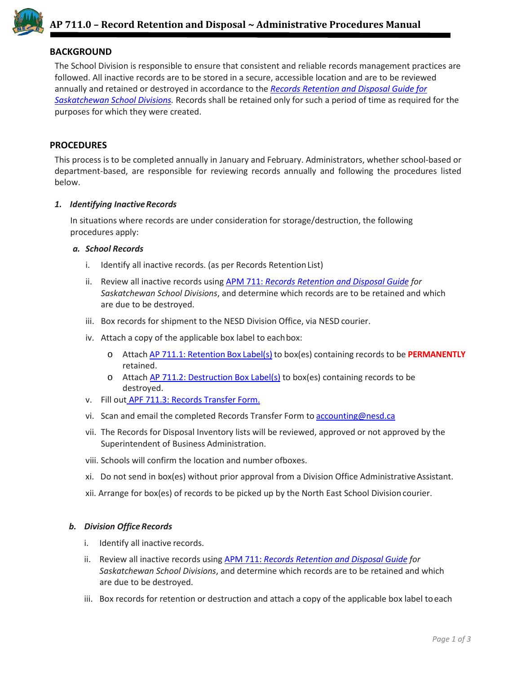

## **BACKGROUND**

The School Division is responsible to ensure that consistent and reliable records management practices are followed. All inactive records are to be stored in a secure, accessible location and are to be reviewed annually and retained or destroyed in accordance to the *[Records Retention and Disposal Guide for](https://www.nesd.ca/Board/policiesprocedures/Documents/Module%207%20-%20Business%20Administration/AP%20711.5-MANUAL-Records%20Retention%20and%20Disposal%20Guide%20for%20Saskatchewan%20School%20Divisions.pdf) [Saskatchewan School Divisions.](https://www.nesd.ca/Board/policiesprocedures/Documents/Module%207%20-%20Business%20Administration/AP%20711.5-MANUAL-Records%20Retention%20and%20Disposal%20Guide%20for%20Saskatchewan%20School%20Divisions.pdf)* Records shall be retained only for such a period of time as required for the purposes for which they were created.

#### **PROCEDURES**

This process is to be completed annually in January and February. Administrators, whether school-based or department-based, are responsible for reviewing records annually and following the procedures listed below.

#### *1. Identifying InactiveRecords*

In situations where records are under consideration for storage/destruction, the following procedures apply:

#### *a. School Records*

- i. Identify all inactive records. (as per Records Retention List)
- ii. Review all inactive records using APM 711: *[Records Retention and Disposal Guide](https://www.nesd.ca/Board/policiesprocedures/Documents/Module%207%20-%20Business%20Administration/AP%20711.5-MANUAL-Records%20Retention%20and%20Disposal%20Guide%20for%20Saskatchewan%20School%20Divisions.pdf) for Saskatchewan School Divisions*, and determine which records are to be retained and which are due to be destroyed.
- iii. Box records for shipment to the NESD Division Office, via NESD courier.
- iv. Attach a copy of the applicable box label to eachbox:
	- o Attach AP 711.1: [Retention](https://www.nesd.ca/Board/policiesprocedures/Documents/Module%207%20-%20Business%20Administration/AP%20711.1-LABEL-Records%20for%20Retention.pdf) Box Label(s) to box(es) containing records to be **PERMANENTLY** retained.
	- o Attach [AP 711.2: Destruction Box Label\(s\)](https://www.nesd.ca/Board/policiesprocedures/Documents/Module%207%20-%20Business%20Administration/AP%20711.2-LABEL-Records%20for%20Destruction.pdf) to box(es) containing records to be destroyed.
- v. Fill out [APF 711.3: Records Transfer](https://www.nesd.ca/Board/policiesprocedures/Documents/Module%207%20-%20Business%20Administration/AP%20711.3-FORM-Record%20Transfer%20Form.pdf) Form.
- vi. Scan and email the completed Records Transfer Form to [accounting@nesd.ca](mailto:accounting@nesd.ca)
- vii. The Records for Disposal Inventory lists will be reviewed, approved or not approved by the Superintendent of Business Administration.
- viii. Schools will confirm the location and number ofboxes.
- xi. Do not send in box(es) without prior approval from a Division Office AdministrativeAssistant.
- xii. Arrange for box(es) of records to be picked up by the North East School Divisioncourier.

#### *b. Division Office Records*

- i. Identify all inactive records.
- ii. Review all inactive records using APM 711: *[Records Retention and Disposal Guide](https://www.nesd.ca/Board/policiesprocedures/Documents/Module%207%20-%20Business%20Administration/AP%20711.5-MANUAL-Records%20Retention%20and%20Disposal%20Guide%20for%20Saskatchewan%20School%20Divisions.pdf) for Saskatchewan School Divisions*, and determine which records are to be retained and which are due to be destroyed.
- iii. Box records for retention or destruction and attach a copy of the applicable box label toeach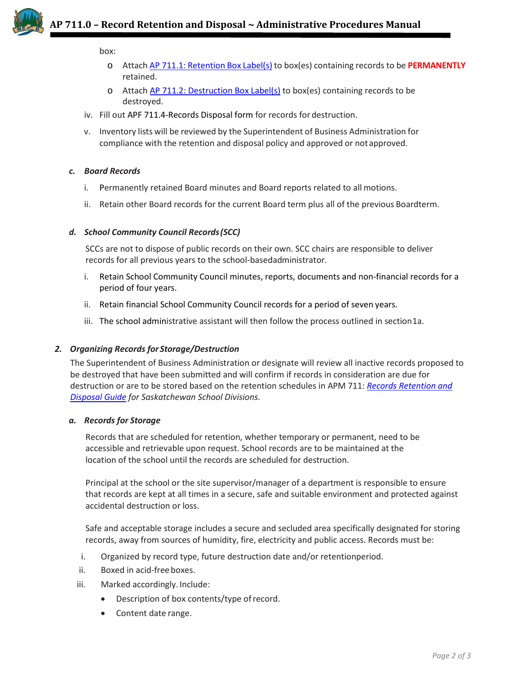

box:

- o Attach AP 711.1: [Retention](https://www.nesd.ca/Board/policiesprocedures/Documents/Module%207%20-%20Business%20Administration/AP%20711.1-LABEL-Records%20for%20Retention.pdf) Box Label(s) to box(es) containing records to be **PERMANENTLY** retained.
- o Attach [AP 711.2: Destruction Box Label\(s\)](https://www.nesd.ca/Board/policiesprocedures/Documents/Module%207%20-%20Business%20Administration/AP%20711.2-LABEL-Records%20for%20Destruction.pdf) to box(es) containing records to be destroyed.
- iv. Fill out [APF 711.4-Records Disposal form for records for](https://www.nesd.ca/Board/policiesprocedures/Documents/Module%207%20-%20Business%20Administration/AP%20711.4-FORM-Records%20Disposal.pdf) destruction.
- v. Inventory lists will be reviewed by the Superintendent of Business Administration for compliance with the retention and disposal policy and approved or notapproved.

## *c. Board Records*

- i. Permanently retained Board minutes and Board reports related to all motions.
- ii. Retain other Board records for the current Board term plus all of the previous Boardterm.

## *d. School Community Council Records(SCC)*

SCCs are not to dispose of public records on their own. SCC chairs are responsible to deliver records for all previous years to the school-basedadministrator.

- i. Retain School Community Council minutes, reports, documents and non-financial records for a period of four years.
- ii. Retain financial School Community Council records for a period of seven years.
- iii. The school administrative assistant will then follow the process outlined in section1a.

## *2. Organizing Records for Storage/Destruction*

The Superintendent of Business Administration or designate will review all inactive records proposed to be destroyed that have been submitted and will confirm if records in consideration are due for destruction or are to be stored based on the retention schedules in APM 711: *[Records Retention and](https://www.nesd.ca/Board/policiesprocedures/Documents/Module%207%20-%20Business%20Administration/AP%20711.5-MANUAL-Records%20Retention%20and%20Disposal%20Guide%20for%20Saskatchewan%20School%20Divisions.pdf) [Disposal Guide](https://www.nesd.ca/Board/policiesprocedures/Documents/Module%207%20-%20Business%20Administration/AP%20711.5-MANUAL-Records%20Retention%20and%20Disposal%20Guide%20for%20Saskatchewan%20School%20Divisions.pdf) for Saskatchewan School Divisions.*

## *a. Records for Storage*

Records that are scheduled for retention, whether temporary or permanent, need to be accessible and retrievable upon request. School records are to be maintained at the location of the school until the records are scheduled for destruction.

Principal at the school or the site supervisor/manager of a department is responsible to ensure that records are kept at all times in a secure, safe and suitable environment and protected against accidental destruction or loss.

Safe and acceptable storage includes a secure and secluded area specifically designated for storing records, away from sources of humidity, fire, electricity and public access. Records must be:

- i. Organized by record type, future destruction date and/or retentionperiod.
- ii. Boxed in acid-freeboxes.
- iii. Marked accordingly. Include:
	- Description of box contents/type ofrecord.
	- Content date range.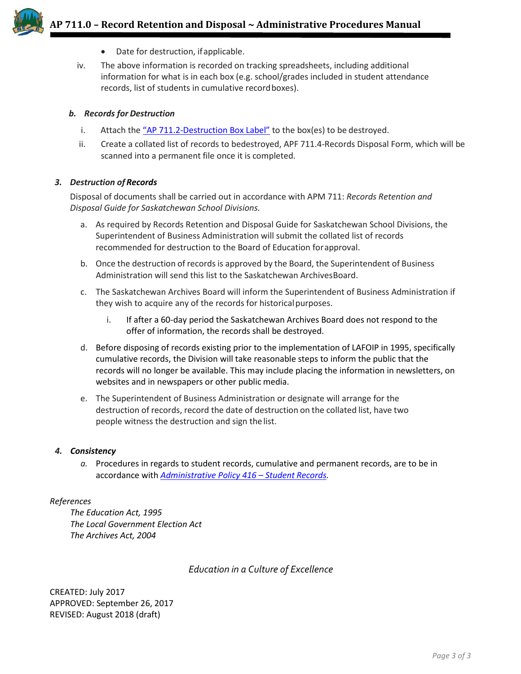

- Date for destruction, if applicable.
- iv. The above information is recorded on tracking spreadsheets, including additional information for what is in each box (e.g. school/grades included in student attendance records, list of students in cumulative recordboxes).

#### *b. Records for Destruction*

- i. Attach the  $\frac{4}{12}$   $\sqrt{211.2-Destruction Box Label''}$  to the box(es) to be destroyed.
- ii. Create a collated list of records to bedestroyed[, APF 711.4-Records Disposal Form,](https://www.nesd.ca/Board/policiesprocedures/Documents/Module%207%20-%20Business%20Administration/AP%20711.4-FORM-Records%20Disposal.pdf) which will be scanned into a permanent file once it is completed.

## *3. Destruction of Records*

Disposal of documents shall be carried out in accordance with APM 711: *[Records Retention and](https://www.nesd.ca/Board/policiesprocedures/Documents/Module%207%20-%20Business%20Administration/AP%20711.5-MANUAL-Records%20Retention%20and%20Disposal%20Guide%20for%20Saskatchewan%20School%20Divisions.pdf) Disposal Guide for Saskatchewan School Divisions.*

- a. As required by Records Retention and Disposal Guide for Saskatchewan School Divisions, the Superintendent of Business Administration will submit the collated list of records recommended for destruction to the Board of Education forapproval.
- b. Once the destruction of recordsis approved by the Board, the Superintendent of Business Administration will send this list to the Saskatchewan ArchivesBoard.
- c. The Saskatchewan Archives Board will inform the Superintendent of Business Administration if they wish to acquire any of the records for historical purposes.
	- i. If after a 60-day period the Saskatchewan Archives Board does not respond to the offer of information, the records shall be destroyed.
- d. Before disposing of records existing prior to the implementation of LAFOIP in 1995, specifically cumulative records, the Division will take reasonable steps to inform the public that the records will no longer be available. This may include placing the information in newsletters, on websites and in newspapers or other public media.
- e. The Superintendent of Business Administration or designate will arrange for the destruction of records, record the date of destruction on the collated list, have two people witness the destruction and sign the list.

#### *4. Consistency*

*a.* Procedures in regards to student records, cumulative and permanent records, are to be in accordance with *[Administrative Policy 416 –](https://www.nesd.ca/Board/policiesprocedures/Documents/Module%204%20-%20School%20Operations/AP%20416-Student%20Records.pdf) Student Records.*

#### *References*

*The Education Act, 1995 The Local Government Election Act The Archives Act, 2004*

## *Education in a Culture of Excellence*

CREATED: July 2017 APPROVED: September 26, 2017 REVISED: August 2018 (draft)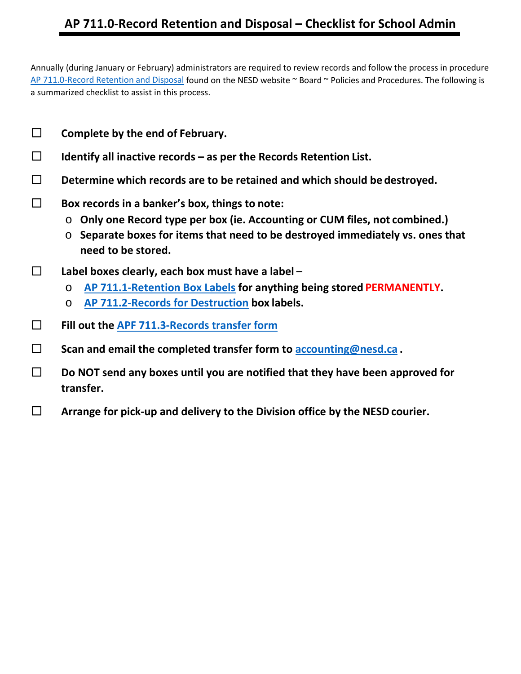## **AP 711.0-Record Retention and Disposal – Checklist for School Admin**

Annually (during January or February) administrators are required to review records and follow the process in procedure [AP 711.0-Record Retention and Disposal](http://www.nesd.ca/Board/policiesprocedures/Documents/Module%207%20-%20Business%20Administration/AP%20711.0-Record%20Retention%20and%20Disposal.pdf) found on the NESD website ~ Board ~ Policies and Procedures. The following is a summarized checklist to assist in this process.

- ☐ **Complete by the end of February.**
- ☐ **Identify all inactive records – as per the Records Retention List.**
- ☐ **Determine which records are to be retained and which should be destroyed.**
- ☐ **Box records in a banker's box, things to note:**
	- o **Only one Record type per box (ie. Accounting or CUM files, not combined.)**
	- o **Separate boxes for items that need to be destroyed immediately vs. ones that need to be stored.**
- ☐ **Label boxes clearly, each box must have a label –**
	- o **[AP 711.1-Retention Box Labels](http://www.nesd.ca/Board/policiesprocedures/Documents/Module%207%20-%20Business%20Administration/AP%20711.1-LABEL-Records%20for%20Retention.pdf) for anything being stored PERMANENTLY.**
	- o **[AP 711.2-Records for Destruction](http://www.nesd.ca/Board/policiesprocedures/Documents/Module%207%20-%20Business%20Administration/AP%20711.2-LABEL-Records%20for%20Destruction.pdf) box labels.**
- ☐ **Fill out the [APF 711.3-Records transfer](http://www.nesd.ca/Board/policiesprocedures/Documents/Module%207%20-%20Business%20Administration/AP%20711.3-FORM-Record%20for%20Disposal%20Inventory%20list%20-%20School%20Record%20Transfer%20Form.2017.pdf) form**
- ☐ **Scan and email the completed transfer form to [accounting@nesd.ca](mailto:accounting@nesd.ca) .**
- ☐ **Do NOT send any boxes until you are notified that they have been approved for transfer.**
- ☐ **Arrange for pick-up and delivery to the Division office by the NESD courier.**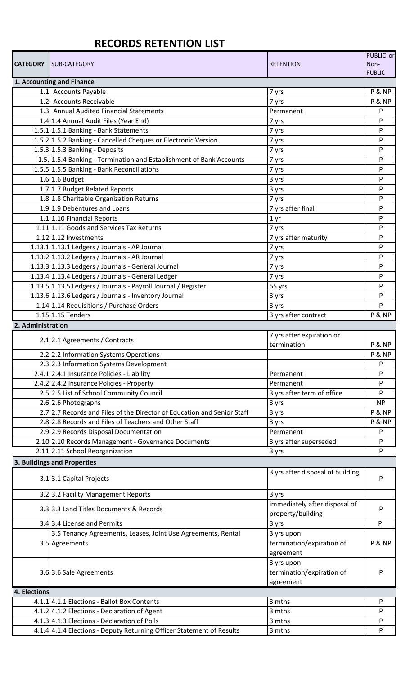# **RECORDS RETENTION LIST**

| <b>CATEGORY</b>           | <b>SUB-CATEGORY</b>                                                     | <b>RETENTION</b>                 | PUBLIC or<br>Non-<br><b>PUBLIC</b> |  |  |  |
|---------------------------|-------------------------------------------------------------------------|----------------------------------|------------------------------------|--|--|--|
| 1. Accounting and Finance |                                                                         |                                  |                                    |  |  |  |
|                           | 1.1 Accounts Payable                                                    | 7 yrs                            | P & NP                             |  |  |  |
|                           | 1.2 Accounts Receivable                                                 | 7 yrs                            | P & NP                             |  |  |  |
|                           | 1.3 Annual Audited Financial Statements                                 | Permanent                        | P                                  |  |  |  |
|                           | 1.4 1.4 Annual Audit Files (Year End)                                   | 7 yrs                            | P                                  |  |  |  |
|                           | 1.5.1 1.5.1 Banking - Bank Statements                                   | 7 yrs                            | P                                  |  |  |  |
|                           | 1.5.2 1.5.2 Banking - Cancelled Cheques or Electronic Version           | 7 yrs                            | P                                  |  |  |  |
|                           | 1.5.3 1.5.3 Banking - Deposits                                          | 7 yrs                            | P                                  |  |  |  |
|                           | 1.5. 1.5.4 Banking - Termination and Establishment of Bank Accounts     | 7 yrs                            | P                                  |  |  |  |
|                           | 1.5.5 1.5.5 Banking - Bank Reconciliations                              | 7 yrs                            | P                                  |  |  |  |
|                           | 1.6 1.6 Budget                                                          | 3 yrs                            | P                                  |  |  |  |
|                           | 1.7 1.7 Budget Related Reports                                          | 3 yrs                            | P                                  |  |  |  |
|                           | 1.8 1.8 Charitable Organization Returns                                 | 7 yrs                            | P                                  |  |  |  |
|                           | 1.9 1.9 Debentures and Loans                                            | 7 yrs after final                | P                                  |  |  |  |
|                           | 1.1 1.10 Financial Reports                                              | 1 <sub>yr</sub>                  | P                                  |  |  |  |
|                           | 1.11 1.11 Goods and Services Tax Returns                                | 7 yrs                            | P                                  |  |  |  |
|                           | 1.12 1.12 Investments                                                   | 7 yrs after maturity             | P                                  |  |  |  |
|                           | 1.13.1 1.13.1 Ledgers / Journals - AP Journal                           | 7 yrs                            | P                                  |  |  |  |
|                           | 1.13.2 1.13.2 Ledgers / Journals - AR Journal                           | 7 yrs                            | P                                  |  |  |  |
|                           | 1.13.3 1.13.3 Ledgers / Journals - General Journal                      | 7 yrs                            | P                                  |  |  |  |
|                           | 1.13.4 1.13.4 Ledgers / Journals - General Ledger                       | 7 yrs                            | P                                  |  |  |  |
|                           | 1.13.5 1.13.5 Ledgers / Journals - Payroll Journal / Register           | 55 yrs                           | P                                  |  |  |  |
|                           | 1.13.6 1.13.6 Ledgers / Journals - Inventory Journal                    | 3 yrs                            | P                                  |  |  |  |
|                           | 1.14 1.14 Requisitions / Purchase Orders                                | 3 yrs                            | P                                  |  |  |  |
|                           | 1.15 1.15 Tenders                                                       | 3 yrs after contract             | P & NP                             |  |  |  |
| 2. Administration         |                                                                         |                                  |                                    |  |  |  |
|                           | 2.1 2.1 Agreements / Contracts                                          | 7 yrs after expiration or        |                                    |  |  |  |
|                           |                                                                         | termination                      | P & NP                             |  |  |  |
|                           | 2.2 2.2 Information Systems Operations                                  |                                  | P & NP                             |  |  |  |
|                           | 2.3 2.3 Information Systems Development                                 |                                  | P                                  |  |  |  |
|                           | 2.4.1 2.4.1 Insurance Policies - Liability                              | Permanent                        | P                                  |  |  |  |
|                           | 2.4.2 2.4.2 Insurance Policies - Property                               | Permanent                        | P                                  |  |  |  |
|                           | 2.5 2.5 List of School Community Council                                | 3 yrs after term of office       | P                                  |  |  |  |
|                           | 2.6 2.6 Photographs                                                     | 3 yrs                            | <b>NP</b>                          |  |  |  |
|                           | 2.7 2.7 Records and Files of the Director of Education and Senior Staff | 3 yrs                            | P & NP                             |  |  |  |
|                           | 2.8 2.8 Records and Files of Teachers and Other Staff                   | 3 yrs                            | P & NP                             |  |  |  |
|                           | 2.9 2.9 Records Disposal Documentation                                  | Permanent                        | P                                  |  |  |  |
|                           | 2.10 2.10 Records Management - Governance Documents                     | 3 yrs after superseded           | P                                  |  |  |  |
|                           | 2.11 2.11 School Reorganization                                         | 3 yrs                            | P                                  |  |  |  |
|                           | 3. Buildings and Properties                                             |                                  |                                    |  |  |  |
|                           | 3.1 3.1 Capital Projects                                                | 3 yrs after disposal of building | P                                  |  |  |  |
|                           | 3.2 3.2 Facility Management Reports                                     | 3 yrs                            |                                    |  |  |  |
|                           |                                                                         | immediately after disposal of    |                                    |  |  |  |
|                           | 3.3 3.3 Land Titles Documents & Records                                 | property/building                | P                                  |  |  |  |
|                           | 3.4 3.4 License and Permits                                             | 3 yrs                            | P                                  |  |  |  |
|                           | 3.5 Tenancy Agreements, Leases, Joint Use Agreements, Rental            | 3 yrs upon                       |                                    |  |  |  |
|                           | 3.5 Agreements                                                          | termination/expiration of        | <b>P &amp; NP</b>                  |  |  |  |
|                           |                                                                         | agreement                        |                                    |  |  |  |
|                           |                                                                         | 3 yrs upon                       |                                    |  |  |  |
|                           | 3.6 3.6 Sale Agreements                                                 | termination/expiration of        | P                                  |  |  |  |
|                           |                                                                         | agreement                        |                                    |  |  |  |
| 4. Elections              |                                                                         |                                  |                                    |  |  |  |
|                           | 4.1.1 4.1.1 Elections - Ballot Box Contents                             | 3 mths                           | P                                  |  |  |  |
|                           | 4.1.2 4.1.2 Elections - Declaration of Agent                            | 3 mths                           | P                                  |  |  |  |
|                           | 4.1.3 4.1.3 Elections - Declaration of Polls                            | 3 mths                           | P                                  |  |  |  |
|                           | 4.1.4 4.1.4 Elections - Deputy Returning Officer Statement of Results   | 3 mths                           | P                                  |  |  |  |
|                           |                                                                         |                                  |                                    |  |  |  |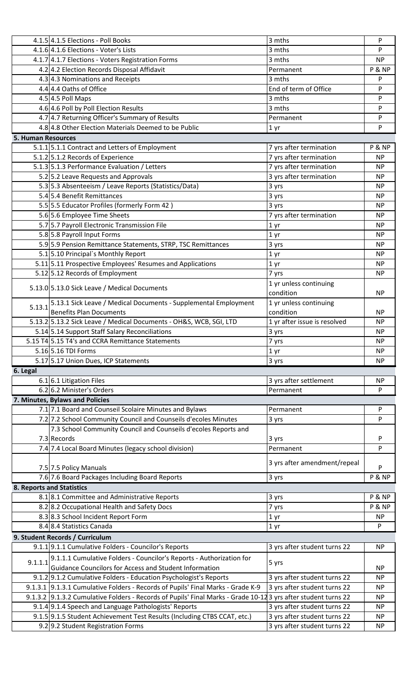|                           | 4.1.5 4.1.5 Elections - Poll Books                                                                             | 3 mths                              | P                 |
|---------------------------|----------------------------------------------------------------------------------------------------------------|-------------------------------------|-------------------|
|                           | 4.1.6 4.1.6 Elections - Voter's Lists                                                                          | 3 mths                              | P                 |
|                           | 4.1.7 4.1.7 Elections - Voters Registration Forms                                                              | 3 mths                              | NP                |
|                           | 4.2 4.2 Election Records Disposal Affidavit                                                                    | Permanent                           | P & NP            |
|                           | 4.3 4.3 Nominations and Receipts                                                                               | 3 mths                              | P                 |
|                           | 4.4 4.4 Oaths of Office                                                                                        | End of term of Office               | P                 |
|                           | 4.5 4.5 Poll Maps                                                                                              | 3 mths                              | P                 |
|                           | 4.6 4.6 Poll by Poll Election Results                                                                          | 3 mths                              | P                 |
|                           | 4.7 4.7 Returning Officer's Summary of Results                                                                 | Permanent                           | P                 |
|                           | 4.8 4.8 Other Election Materials Deemed to be Public                                                           | 1 <sub>yr</sub>                     | P                 |
| <b>5. Human Resources</b> |                                                                                                                |                                     |                   |
|                           | 5.1.1 5.1.1 Contract and Letters of Employment                                                                 | 7 yrs after termination             | P & NP            |
|                           | 5.1.2 5.1.2 Records of Experience                                                                              | 7 yrs after termination             | <b>NP</b>         |
|                           | 5.1.3 5.1.3 Performance Evaluation / Letters                                                                   | 7 yrs after termination             | <b>NP</b>         |
|                           | 5.2 5.2 Leave Requests and Approvals                                                                           | 3 yrs after termination             | <b>NP</b>         |
|                           | 5.3 5.3 Absenteeism / Leave Reports (Statistics/Data)                                                          | 3 yrs                               | <b>NP</b>         |
|                           | 5.4 5.4 Benefit Remittances                                                                                    | 3 yrs                               | <b>NP</b>         |
|                           | 5.5 5.5 Educator Profiles (formerly Form 42)                                                                   | 3 yrs                               | <b>NP</b>         |
|                           | 5.6 5.6 Employee Time Sheets                                                                                   | 7 yrs after termination             | <b>NP</b>         |
|                           | 5.7 5.7 Payroll Electronic Transmission File                                                                   | 1 yr                                | <b>NP</b>         |
|                           | 5.8 5.8 Payroll Input Forms                                                                                    | 1 yr                                | <b>NP</b>         |
|                           | 5.9 5.9 Pension Remittance Statements, STRP, TSC Remittances                                                   | 3 yrs                               | <b>NP</b>         |
|                           | 5.1 5.10 Principal's Monthly Report                                                                            |                                     | <b>NP</b>         |
|                           | 5.11 5.11 Prospective Employees' Resumes and Applications                                                      | 1 <sub>yr</sub>                     | <b>NP</b>         |
|                           |                                                                                                                | 1 yr                                | <b>NP</b>         |
|                           | 5.12 5.12 Records of Employment                                                                                | 7 yrs                               |                   |
|                           | 5.13.0 5.13.0 Sick Leave / Medical Documents                                                                   | 1 yr unless continuing<br>condition | <b>NP</b>         |
|                           | 5.13.1 Sick Leave / Medical Documents - Supplemental Employment                                                | 1 yr unless continuing              |                   |
| 5.13.1                    | <b>Benefits Plan Documents</b>                                                                                 | condition                           | <b>NP</b>         |
|                           | 5.13.2 5.13.2 Sick Leave / Medical Documents - OH&S, WCB, SGI, LTD                                             | 1 yr after issue is resolved        | <b>NP</b>         |
|                           | 5.14 5.14 Support Staff Salary Reconciliations                                                                 | 3 yrs                               | <b>NP</b>         |
|                           | 5.15 T4 5.15 T4's and CCRA Remittance Statements                                                               | 7 yrs                               | <b>NP</b>         |
|                           | 5.16 5.16 TDI Forms                                                                                            |                                     | <b>NP</b>         |
|                           | 5.17 5.17 Union Dues, ICP Statements                                                                           | 1 yr<br>3 yrs                       | <b>NP</b>         |
| 6. Legal                  |                                                                                                                |                                     |                   |
|                           | 6.1 6.1 Litigation Files                                                                                       | 3 yrs after settlement              | <b>NP</b>         |
|                           | 6.2 6.2 Minister's Orders                                                                                      | Permanent                           | P                 |
|                           | 7. Minutes, Bylaws and Policies                                                                                |                                     |                   |
|                           | 7.1 7.1 Board and Counseil Scolaire Minutes and Bylaws                                                         | Permanent                           | P                 |
|                           | 7.2 7.2 School Community Council and Counseils d'ecoles Minutes                                                |                                     | P                 |
|                           |                                                                                                                | 3 yrs                               |                   |
|                           | 7.3 School Community Council and Counseils d'ecoles Reports and<br>7.3 Records                                 |                                     | P                 |
|                           |                                                                                                                | 3 yrs                               |                   |
|                           | 7.4 7.4 Local Board Minutes (legacy school division)                                                           | Permanent                           | P                 |
|                           | 7.5 7.5 Policy Manuals                                                                                         | 3 yrs after amendment/repeal        | P                 |
|                           | 7.6 7.6 Board Packages Including Board Reports                                                                 | 3 yrs                               | <b>P &amp; NP</b> |
|                           | <b>8. Reports and Statistics</b>                                                                               |                                     |                   |
|                           | 8.18.1 Committee and Administrative Reports                                                                    | 3 yrs                               | <b>P &amp; NP</b> |
|                           | 8.2 8.2 Occupational Health and Safety Docs                                                                    | 7 yrs                               | <b>P &amp; NP</b> |
|                           | 8.3 8.3 School Incident Report Form                                                                            | 1 <sub>yr</sub>                     | <b>NP</b>         |
|                           | 8.4 8.4 Statistics Canada                                                                                      | 1 yr                                | P                 |
|                           |                                                                                                                |                                     |                   |
|                           | 9. Student Records / Curriculum                                                                                |                                     |                   |
|                           | 9.1.1 9.1.1 Cumulative Folders - Councilor's Reports                                                           | 3 yrs after student turns 22        | <b>NP</b>         |
|                           | 9.1.1.1 Cumulative Folders - Councilor's Reports - Authorization for                                           | 5 yrs                               |                   |
|                           | <b>Guidance Councilors for Access and Student Information</b>                                                  |                                     | <b>NP</b>         |
|                           | 9.1.2 9.1.2 Cumulative Folders - Education Psychologist's Reports                                              | 3 yrs after student turns 22        | <b>NP</b>         |
|                           | 9.1.3.1 9.1.3.1 Cumulative Folders - Records of Pupils' Final Marks - Grade K-9                                | 3 yrs after student turns 22        | <b>NP</b>         |
|                           | 9.1.3.2 9.1.3.2 Cumulative Folders - Records of Pupils' Final Marks - Grade 10-12 3 yrs after student turns 22 |                                     | <b>NP</b>         |
|                           | 9.1.4 9.1.4 Speech and Language Pathologists' Reports                                                          | 3 yrs after student turns 22        | <b>NP</b>         |
|                           | 9.1.5 9.1.5 Student Achievement Test Results (Including CTBS CCAT, etc.)                                       | 3 yrs after student turns 22        | <b>NP</b>         |
|                           | 9.2 9.2 Student Registration Forms                                                                             | 3 yrs after student turns 22        | <b>NP</b>         |